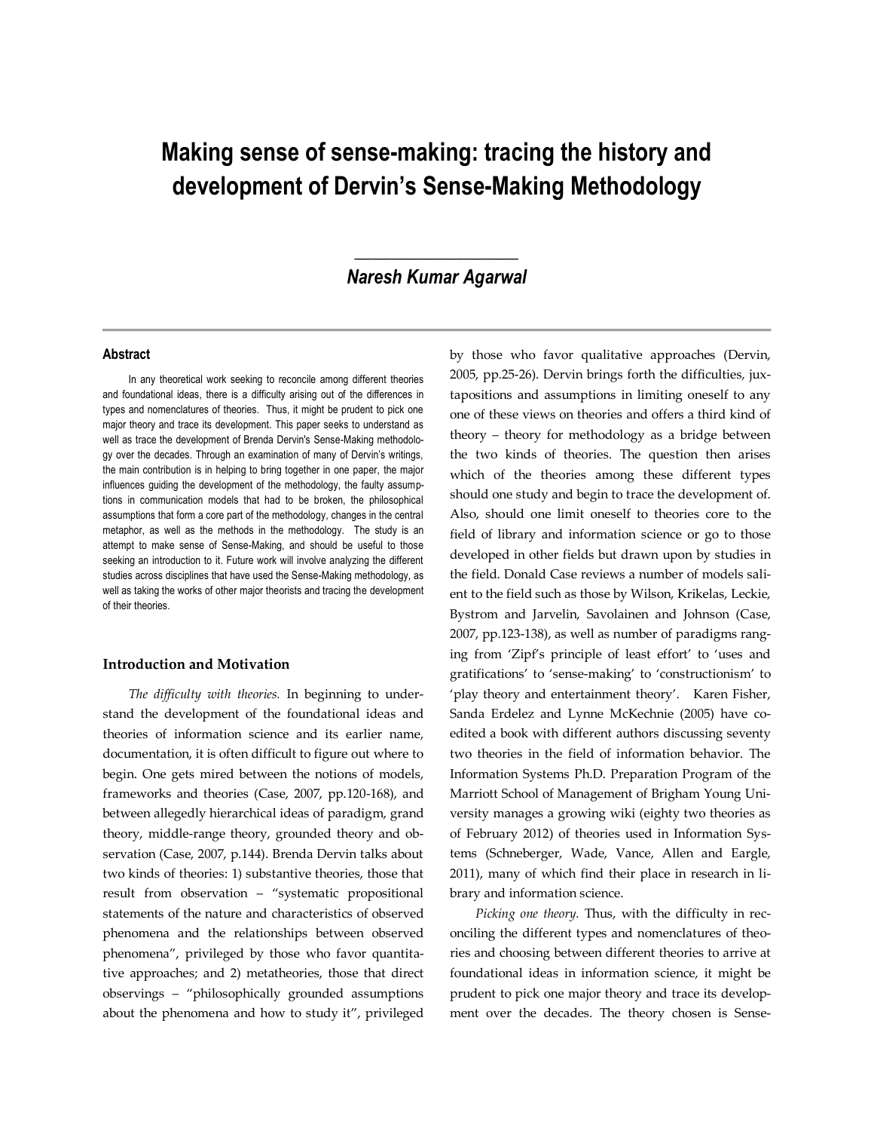# **Making sense of sense-making: tracing the history and development of Dervin's Sense-Making Methodology**

# **\_\_\_\_\_\_\_\_\_\_\_\_\_\_\_\_\_\_** *Naresh Kumar Agarwal*

#### **Abstract**

In any theoretical work seeking to reconcile among different theories and foundational ideas, there is a difficulty arising out of the differences in types and nomenclatures of theories. Thus, it might be prudent to pick one major theory and trace its development. This paper seeks to understand as well as trace the development of Brenda Dervin's Sense-Making methodology over the decades. Through an examination of many of Dervin's writings, the main contribution is in helping to bring together in one paper, the major influences guiding the development of the methodology, the faulty assumptions in communication models that had to be broken, the philosophical assumptions that form a core part of the methodology, changes in the central metaphor, as well as the methods in the methodology. The study is an attempt to make sense of Sense-Making, and should be useful to those seeking an introduction to it. Future work will involve analyzing the different studies across disciplines that have used the Sense-Making methodology, as well as taking the works of other major theorists and tracing the development of their theories.

#### **Introduction and Motivation**

*The difficulty with theories.* In beginning to understand the development of the foundational ideas and theories of information science and its earlier name, documentation, it is often difficult to figure out where to begin. One gets mired between the notions of models, frameworks and theories (Case, 2007, pp.120-168), and between allegedly hierarchical ideas of paradigm, grand theory, middle-range theory, grounded theory and observation (Case, 2007, p.144). Brenda Dervin talks about two kinds of theories: 1) substantive theories, those that result from observation – "systematic propositional statements of the nature and characteristics of observed phenomena and the relationships between observed phenomena", privileged by those who favor quantitative approaches; and 2) metatheories, those that direct observings – "philosophically grounded assumptions about the phenomena and how to study it", privileged

by those who favor qualitative approaches (Dervin, 2005, pp.25-26). Dervin brings forth the difficulties, juxtapositions and assumptions in limiting oneself to any one of these views on theories and offers a third kind of theory – theory for methodology as a bridge between the two kinds of theories. The question then arises which of the theories among these different types should one study and begin to trace the development of. Also, should one limit oneself to theories core to the field of library and information science or go to those developed in other fields but drawn upon by studies in the field. Donald Case reviews a number of models salient to the field such as those by Wilson, Krikelas, Leckie, Bystrom and Jarvelin, Savolainen and Johnson (Case, 2007, pp.123-138), as well as number of paradigms ranging from 'Zipf's principle of least effort' to 'uses and gratifications' to 'sense-making' to 'constructionism' to 'play theory and entertainment theory'. Karen Fisher, Sanda Erdelez and Lynne McKechnie (2005) have coedited a book with different authors discussing seventy two theories in the field of information behavior. The Information Systems Ph.D. Preparation Program of the Marriott School of Management of Brigham Young University manages a growing wiki (eighty two theories as of February 2012) of theories used in Information Systems (Schneberger, Wade, Vance, Allen and Eargle, 2011), many of which find their place in research in library and information science.

*Picking one theory.* Thus, with the difficulty in reconciling the different types and nomenclatures of theories and choosing between different theories to arrive at foundational ideas in information science, it might be prudent to pick one major theory and trace its development over the decades. The theory chosen is Sense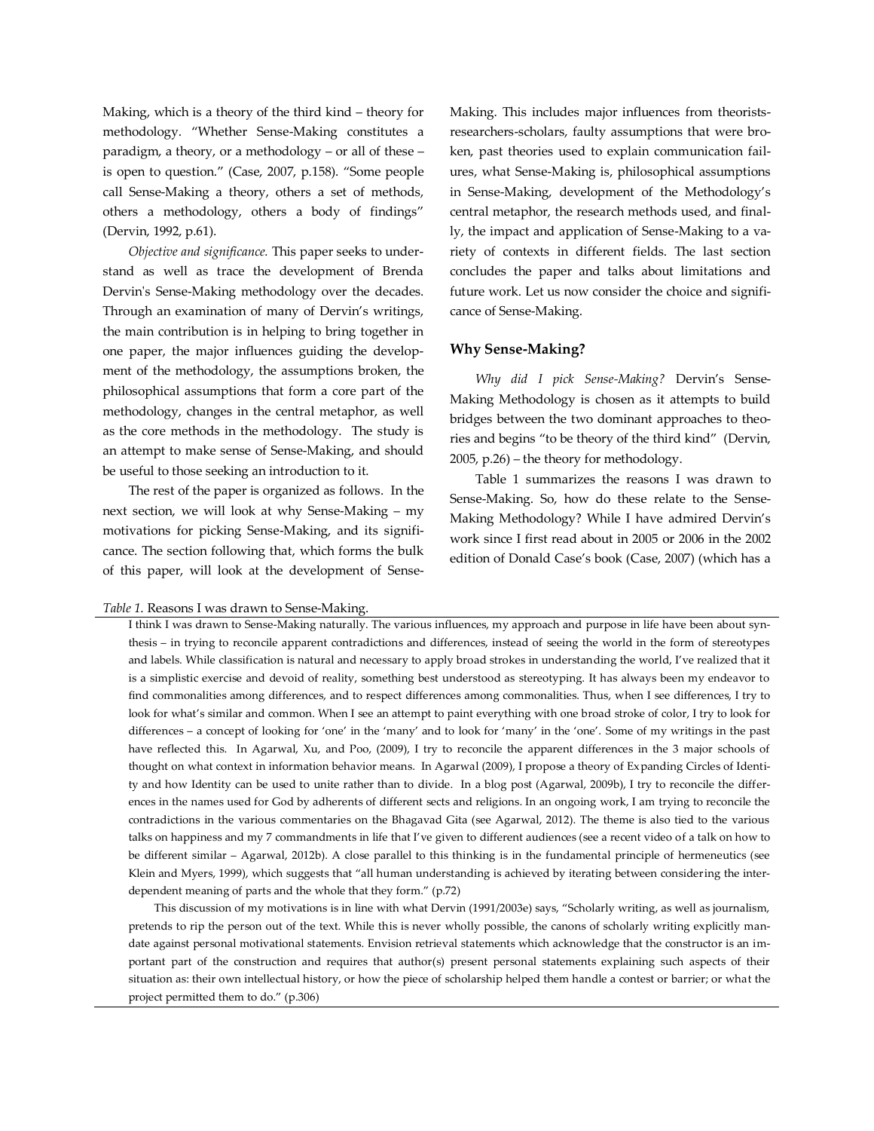Making, which is a theory of the third kind – theory for methodology. "Whether Sense-Making constitutes a paradigm, a theory, or a methodology – or all of these – is open to question." (Case, 2007, p.158). "Some people call Sense-Making a theory, others a set of methods, others a methodology, others a body of findings" (Dervin, 1992, p.61).

*Objective and significance.* This paper seeks to understand as well as trace the development of Brenda Dervin's Sense-Making methodology over the decades. Through an examination of many of Dervin's writings, the main contribution is in helping to bring together in one paper, the major influences guiding the development of the methodology, the assumptions broken, the philosophical assumptions that form a core part of the methodology, changes in the central metaphor, as well as the core methods in the methodology. The study is an attempt to make sense of Sense-Making, and should be useful to those seeking an introduction to it.

The rest of the paper is organized as follows. In the next section, we will look at why Sense-Making – my motivations for picking Sense-Making, and its significance. The section following that, which forms the bulk of this paper, will look at the development of SenseMaking. This includes major influences from theoristsresearchers-scholars, faulty assumptions that were broken, past theories used to explain communication failures, what Sense-Making is, philosophical assumptions in Sense-Making, development of the Methodology's central metaphor, the research methods used, and finally, the impact and application of Sense-Making to a variety of contexts in different fields. The last section concludes the paper and talks about limitations and future work. Let us now consider the choice and significance of Sense-Making.

#### **Why Sense-Making?**

*Why did I pick Sense-Making?* Dervin's Sense-Making Methodology is chosen as it attempts to build bridges between the two dominant approaches to theories and begins "to be theory of the third kind" (Dervin, 2005, p.26) – the theory for methodology.

Table 1 summarizes the reasons I was drawn to Sense-Making. So, how do these relate to the Sense-Making Methodology? While I have admired Dervin's work since I first read about in 2005 or 2006 in the 2002 edition of Donald Case's book (Case, 2007) (which has a

# *Table 1*. Reasons I was drawn to Sense-Making.

I think I was drawn to Sense-Making naturally. The various influences, my approach and purpose in life have been about synthesis – in trying to reconcile apparent contradictions and differences, instead of seeing the world in the form of stereotypes and labels. While classification is natural and necessary to apply broad strokes in understanding the world, I've realized that it is a simplistic exercise and devoid of reality, something best understood as stereotyping. It has always been my endeavor to find commonalities among differences, and to respect differences among commonalities. Thus, when I see differences, I try to look for what's similar and common. When I see an attempt to paint everything with one broad stroke of color, I try to look for differences – a concept of looking for 'one' in the 'many' and to look for 'many' in the 'one'. Some of my writings in the past have reflected this. In Agarwal, Xu, and Poo, (2009), I try to reconcile the apparent differences in the 3 major schools of thought on what context in information behavior means. In Agarwal (2009), I propose a theory of Expanding Circles of Identity and how Identity can be used to unite rather than to divide. In a blog post (Agarwal, 2009b), I try to reconcile the differences in the names used for God by adherents of different sects and religions. In an ongoing work, I am trying to reconcile the contradictions in the various commentaries on the Bhagavad Gita (see Agarwal, 2012). The theme is also tied to the various talks on happiness and my 7 commandments in life that I've given to different audiences (see a recent video of a talk on how to be different similar – Agarwal, 2012b). A close parallel to this thinking is in the fundamental principle of hermeneutics (see Klein and Myers, 1999), which suggests that "all human understanding is achieved by iterating between considering the interdependent meaning of parts and the whole that they form." (p.72)

This discussion of my motivations is in line with what Dervin (1991/2003e) says, "Scholarly writing, as well as journalism, pretends to rip the person out of the text. While this is never wholly possible, the canons of scholarly writing explicitly mandate against personal motivational statements. Envision retrieval statements which acknowledge that the constructor is an important part of the construction and requires that author(s) present personal statements explaining such aspects of their situation as: their own intellectual history, or how the piece of scholarship helped them handle a contest or barrier; or what the project permitted them to do." (p.306)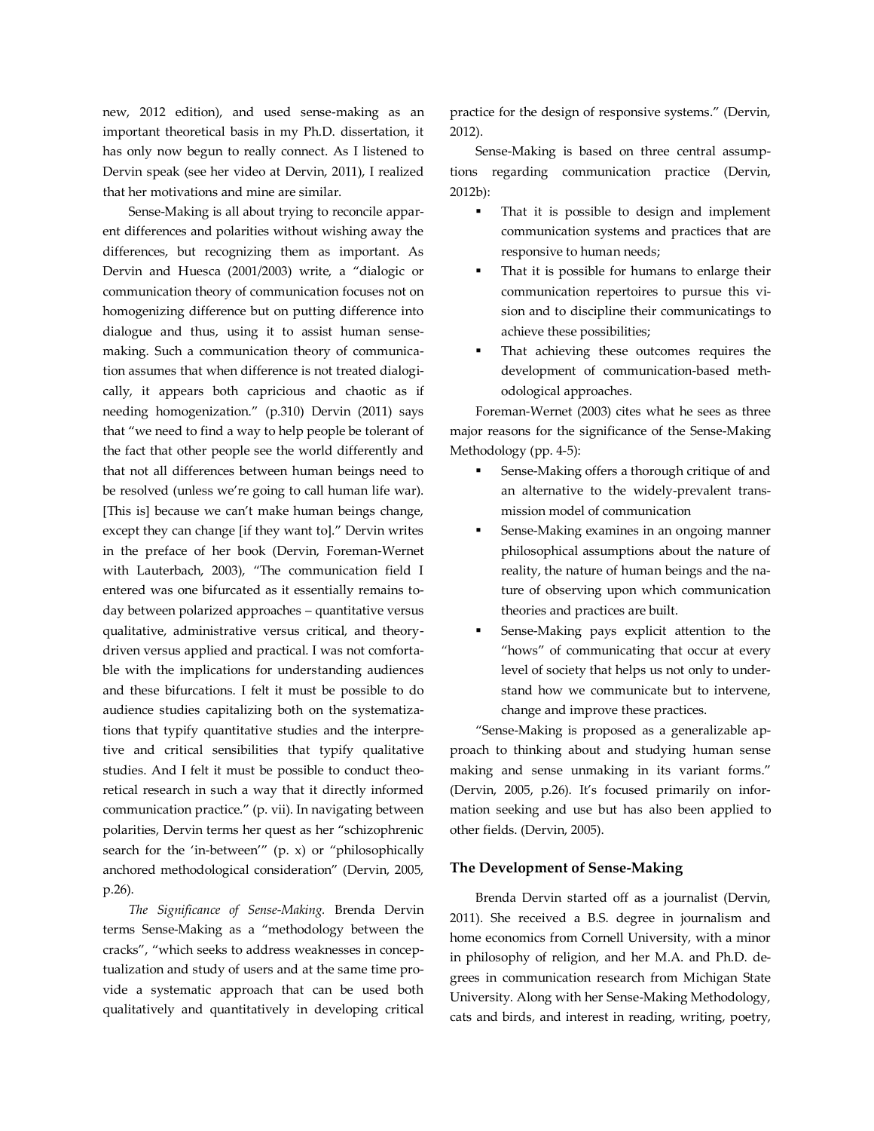new, 2012 edition), and used sense-making as an important theoretical basis in my Ph.D. dissertation, it has only now begun to really connect. As I listened to Dervin speak (see her video at Dervin, 2011), I realized that her motivations and mine are similar.

Sense-Making is all about trying to reconcile apparent differences and polarities without wishing away the differences, but recognizing them as important. As Dervin and Huesca (2001/2003) write, a "dialogic or communication theory of communication focuses not on homogenizing difference but on putting difference into dialogue and thus, using it to assist human sensemaking. Such a communication theory of communication assumes that when difference is not treated dialogically, it appears both capricious and chaotic as if needing homogenization." (p.310) Dervin (2011) says that "we need to find a way to help people be tolerant of the fact that other people see the world differently and that not all differences between human beings need to be resolved (unless we're going to call human life war). [This is] because we can't make human beings change, except they can change [if they want to]." Dervin writes in the preface of her book (Dervin, Foreman-Wernet with Lauterbach, 2003), "The communication field I entered was one bifurcated as it essentially remains today between polarized approaches – quantitative versus qualitative, administrative versus critical, and theorydriven versus applied and practical. I was not comfortable with the implications for understanding audiences and these bifurcations. I felt it must be possible to do audience studies capitalizing both on the systematizations that typify quantitative studies and the interpretive and critical sensibilities that typify qualitative studies. And I felt it must be possible to conduct theoretical research in such a way that it directly informed communication practice." (p. vii). In navigating between polarities, Dervin terms her quest as her "schizophrenic search for the 'in-between'" (p. x) or "philosophically anchored methodological consideration" (Dervin, 2005, p.26).

*The Significance of Sense-Making.* Brenda Dervin terms Sense-Making as a "methodology between the cracks", "which seeks to address weaknesses in conceptualization and study of users and at the same time provide a systematic approach that can be used both qualitatively and quantitatively in developing critical practice for the design of responsive systems." (Dervin, 2012).

Sense-Making is based on three central assumptions regarding communication practice (Dervin, 2012b):

- That it is possible to design and implement communication systems and practices that are responsive to human needs;
- That it is possible for humans to enlarge their communication repertoires to pursue this vision and to discipline their communicatings to achieve these possibilities;
- That achieving these outcomes requires the development of communication-based methodological approaches.

Foreman-Wernet (2003) cites what he sees as three major reasons for the significance of the Sense-Making Methodology (pp. 4-5):

- Sense-Making offers a thorough critique of and an alternative to the widely-prevalent transmission model of communication
- Sense-Making examines in an ongoing manner philosophical assumptions about the nature of reality, the nature of human beings and the nature of observing upon which communication theories and practices are built.
- Sense-Making pays explicit attention to the "hows" of communicating that occur at every level of society that helps us not only to understand how we communicate but to intervene, change and improve these practices.

"Sense-Making is proposed as a generalizable approach to thinking about and studying human sense making and sense unmaking in its variant forms." (Dervin, 2005, p.26). It's focused primarily on information seeking and use but has also been applied to other fields. (Dervin, 2005).

#### **The Development of Sense-Making**

Brenda Dervin started off as a journalist (Dervin, 2011). She received a B.S. degree in journalism and home economics from Cornell University, with a minor in philosophy of religion, and her M.A. and Ph.D. degrees in communication research from Michigan State University. Along with her Sense-Making Methodology, cats and birds, and interest in reading, writing, poetry,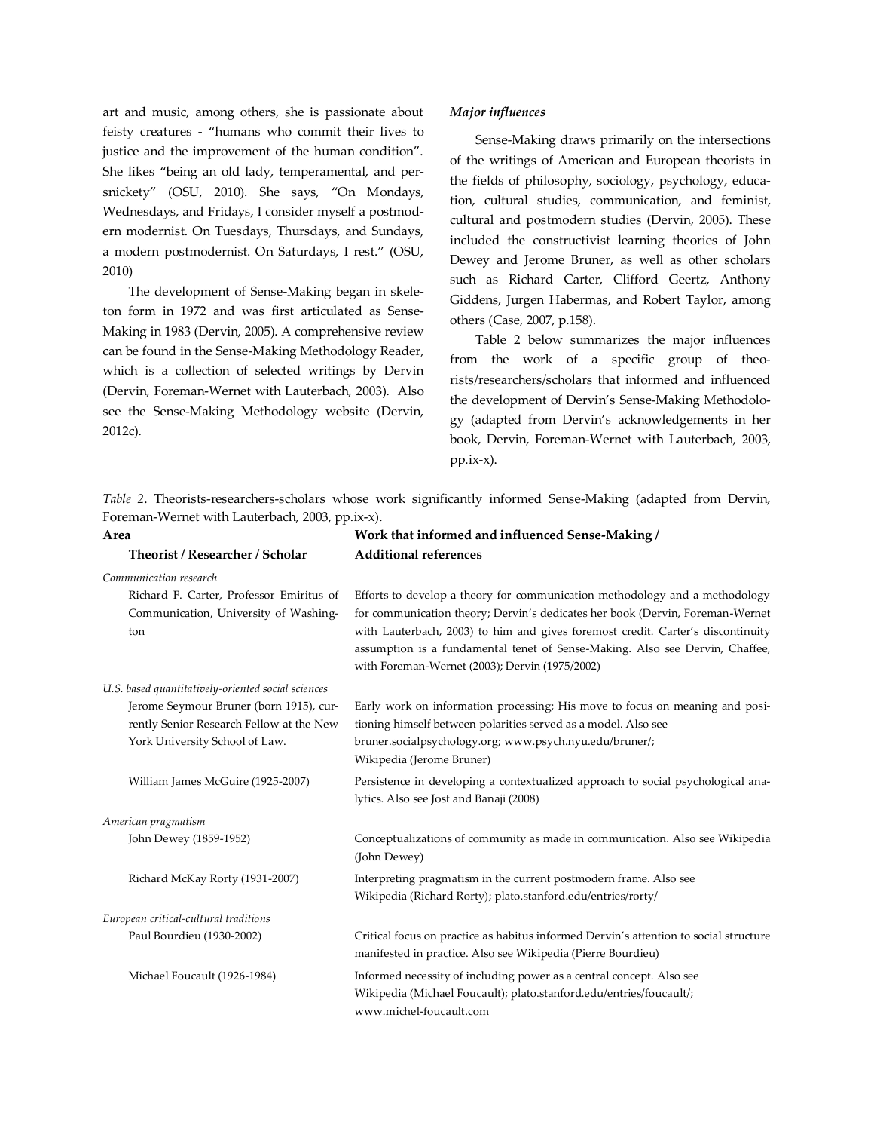art and music, among others, she is passionate about feisty creatures - "humans who commit their lives to justice and the improvement of the human condition". She likes "being an old lady, temperamental, and persnickety" (OSU, 2010). She says, "On Mondays, Wednesdays, and Fridays, I consider myself a postmodern modernist. On Tuesdays, Thursdays, and Sundays, a modern postmodernist. On Saturdays, I rest." (OSU, 2010)

The development of Sense-Making began in skeleton form in 1972 and was first articulated as Sense-Making in 1983 (Dervin, 2005). A comprehensive review can be found in the Sense-Making Methodology Reader, which is a collection of selected writings by Dervin (Dervin, Foreman-Wernet with Lauterbach, 2003). Also see the Sense-Making Methodology website (Dervin, 2012c).

#### *Major influences*

Sense-Making draws primarily on the intersections of the writings of American and European theorists in the fields of philosophy, sociology, psychology, education, cultural studies, communication, and feminist, cultural and postmodern studies (Dervin, 2005). These included the constructivist learning theories of John Dewey and Jerome Bruner, as well as other scholars such as Richard Carter, Clifford Geertz, Anthony Giddens, Jurgen Habermas, and Robert Taylor, among others (Case, 2007, p.158).

Table 2 below summarizes the major influences from the work of a specific group of theorists/researchers/scholars that informed and influenced the development of Dervin's Sense-Making Methodology (adapted from Dervin's acknowledgements in her book, Dervin, Foreman-Wernet with Lauterbach, 2003, pp.ix-x).

*Table 2*. Theorists-researchers-scholars whose work significantly informed Sense-Making (adapted from Dervin, Foreman-Wernet with Lauterbach, 2003, pp.ix-x).

| Area                                                                                                                  | Work that informed and influenced Sense-Making /                                                                                                                                                                                                                                                                                                                                  |
|-----------------------------------------------------------------------------------------------------------------------|-----------------------------------------------------------------------------------------------------------------------------------------------------------------------------------------------------------------------------------------------------------------------------------------------------------------------------------------------------------------------------------|
| Theorist / Researcher / Scholar                                                                                       | <b>Additional references</b>                                                                                                                                                                                                                                                                                                                                                      |
| Communication research                                                                                                |                                                                                                                                                                                                                                                                                                                                                                                   |
| Richard F. Carter, Professor Emiritus of<br>Communication, University of Washing-<br>ton                              | Efforts to develop a theory for communication methodology and a methodology<br>for communication theory; Dervin's dedicates her book (Dervin, Foreman-Wernet<br>with Lauterbach, 2003) to him and gives foremost credit. Carter's discontinuity<br>assumption is a fundamental tenet of Sense-Making. Also see Dervin, Chaffee,<br>with Foreman-Wernet (2003); Dervin (1975/2002) |
| U.S. based quantitatively-oriented social sciences                                                                    |                                                                                                                                                                                                                                                                                                                                                                                   |
| Jerome Seymour Bruner (born 1915), cur-<br>rently Senior Research Fellow at the New<br>York University School of Law. | Early work on information processing; His move to focus on meaning and posi-<br>tioning himself between polarities served as a model. Also see<br>bruner.socialpsychology.org; www.psych.nyu.edu/bruner/;<br>Wikipedia (Jerome Bruner)                                                                                                                                            |
| William James McGuire (1925-2007)                                                                                     | Persistence in developing a contextualized approach to social psychological ana-<br>lytics. Also see Jost and Banaji (2008)                                                                                                                                                                                                                                                       |
| American pragmatism                                                                                                   |                                                                                                                                                                                                                                                                                                                                                                                   |
| John Dewey (1859-1952)                                                                                                | Conceptualizations of community as made in communication. Also see Wikipedia<br>(John Dewey)                                                                                                                                                                                                                                                                                      |
| Richard McKay Rorty (1931-2007)                                                                                       | Interpreting pragmatism in the current postmodern frame. Also see<br>Wikipedia (Richard Rorty); plato.stanford.edu/entries/rorty/                                                                                                                                                                                                                                                 |
| European critical-cultural traditions                                                                                 |                                                                                                                                                                                                                                                                                                                                                                                   |
| Paul Bourdieu (1930-2002)                                                                                             | Critical focus on practice as habitus informed Dervin's attention to social structure<br>manifested in practice. Also see Wikipedia (Pierre Bourdieu)                                                                                                                                                                                                                             |
| Michael Foucault (1926-1984)                                                                                          | Informed necessity of including power as a central concept. Also see<br>Wikipedia (Michael Foucault); plato.stanford.edu/entries/foucault/;<br>www.michel-foucault.com                                                                                                                                                                                                            |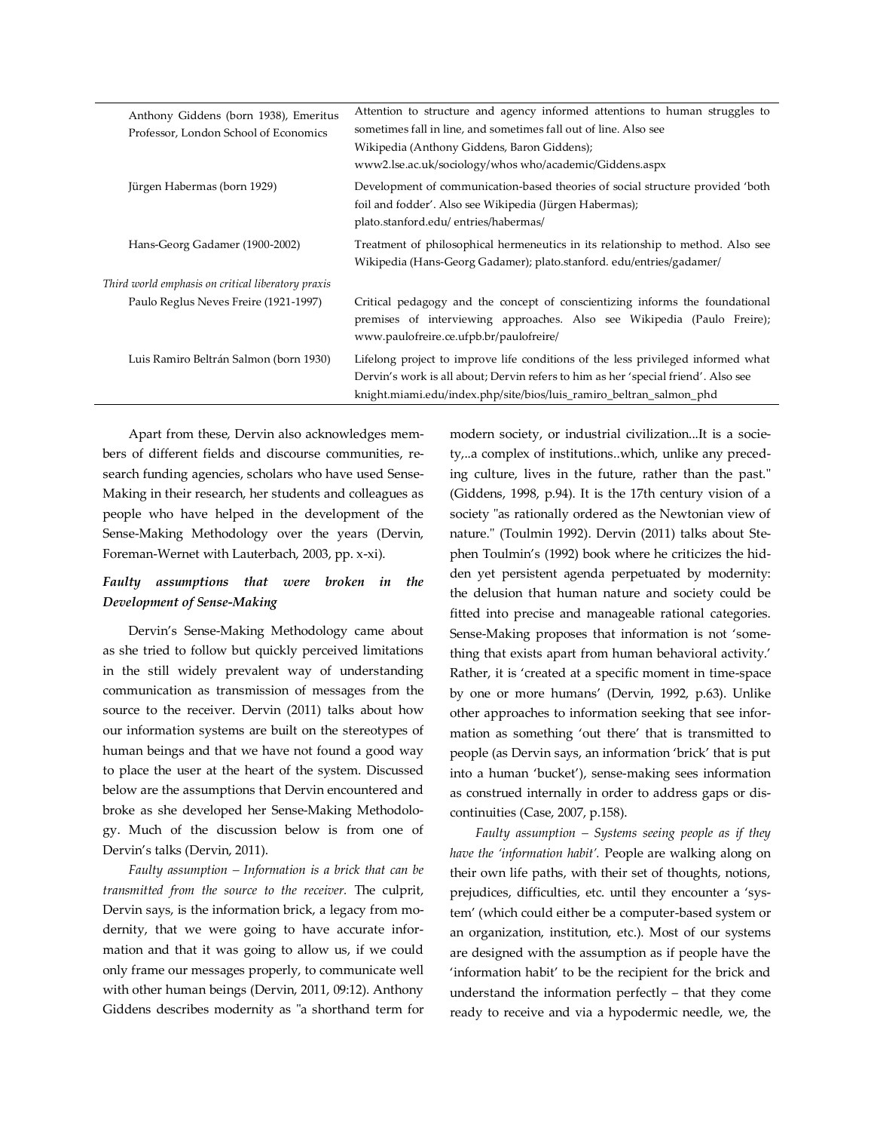| Anthony Giddens (born 1938), Emeritus<br>Professor, London School of Economics | Attention to structure and agency informed attentions to human struggles to<br>sometimes fall in line, and sometimes fall out of line. Also see<br>Wikipedia (Anthony Giddens, Baron Giddens);<br>www2.lse.ac.uk/sociology/whos who/academic/Giddens.aspx |
|--------------------------------------------------------------------------------|-----------------------------------------------------------------------------------------------------------------------------------------------------------------------------------------------------------------------------------------------------------|
| Jürgen Habermas (born 1929)                                                    | Development of communication-based theories of social structure provided 'both<br>foil and fodder'. Also see Wikipedia (Jürgen Habermas);<br>plato.stanford.edu/ entries/habermas/                                                                        |
| Hans-Georg Gadamer (1900-2002)                                                 | Treatment of philosophical hermeneutics in its relationship to method. Also see<br>Wikipedia (Hans-Georg Gadamer); plato.stanford. edu/entries/gadamer/                                                                                                   |
| Third world emphasis on critical liberatory praxis                             |                                                                                                                                                                                                                                                           |
| Paulo Reglus Neves Freire (1921-1997)                                          | Critical pedagogy and the concept of conscientizing informs the foundational<br>premises of interviewing approaches. Also see Wikipedia (Paulo Freire);<br>www.paulofreire.ce.ufpb.br/paulofreire/                                                        |
| Luis Ramiro Beltrán Salmon (born 1930)                                         | Lifelong project to improve life conditions of the less privileged informed what<br>Dervin's work is all about; Dervin refers to him as her 'special friend'. Also see<br>knight.miami.edu/index.php/site/bios/luis ramiro beltran salmon phd             |

Apart from these, Dervin also acknowledges members of different fields and discourse communities, research funding agencies, scholars who have used Sense-Making in their research, her students and colleagues as people who have helped in the development of the Sense-Making Methodology over the years (Dervin, Foreman-Wernet with Lauterbach, 2003, pp. x-xi).

### *Faulty assumptions that were broken in the Development of Sense-Making*

Dervin's Sense-Making Methodology came about as she tried to follow but quickly perceived limitations in the still widely prevalent way of understanding communication as transmission of messages from the source to the receiver. Dervin (2011) talks about how our information systems are built on the stereotypes of human beings and that we have not found a good way to place the user at the heart of the system. Discussed below are the assumptions that Dervin encountered and broke as she developed her Sense-Making Methodology. Much of the discussion below is from one of Dervin's talks (Dervin, 2011).

*Faulty assumption – Information is a brick that can be transmitted from the source to the receiver.* The culprit, Dervin says, is the information brick, a legacy from modernity, that we were going to have accurate information and that it was going to allow us, if we could only frame our messages properly, to communicate well with other human beings (Dervin, 2011, 09:12). Anthony Giddens describes modernity as "a shorthand term for modern society, or industrial civilization...It is a society,..a complex of institutions..which, unlike any preceding culture, lives in the future, rather than the past." (Giddens, 1998, p.94). It is the 17th century vision of a society "as rationally ordered as the Newtonian view of nature." (Toulmin 1992). Dervin (2011) talks about Stephen Toulmin's (1992) book where he criticizes the hidden yet persistent agenda perpetuated by modernity: the delusion that human nature and society could be fitted into precise and manageable rational categories. Sense-Making proposes that information is not 'something that exists apart from human behavioral activity.' Rather, it is 'created at a specific moment in time-space by one or more humans' (Dervin, 1992, p.63). Unlike other approaches to information seeking that see information as something 'out there' that is transmitted to people (as Dervin says, an information 'brick' that is put into a human 'bucket'), sense-making sees information as construed internally in order to address gaps or discontinuities (Case, 2007, p.158).

*Faulty assumption – Systems seeing people as if they have the 'information habit'.* People are walking along on their own life paths, with their set of thoughts, notions, prejudices, difficulties, etc. until they encounter a 'system' (which could either be a computer-based system or an organization, institution, etc.). Most of our systems are designed with the assumption as if people have the 'information habit' to be the recipient for the brick and understand the information perfectly – that they come ready to receive and via a hypodermic needle, we, the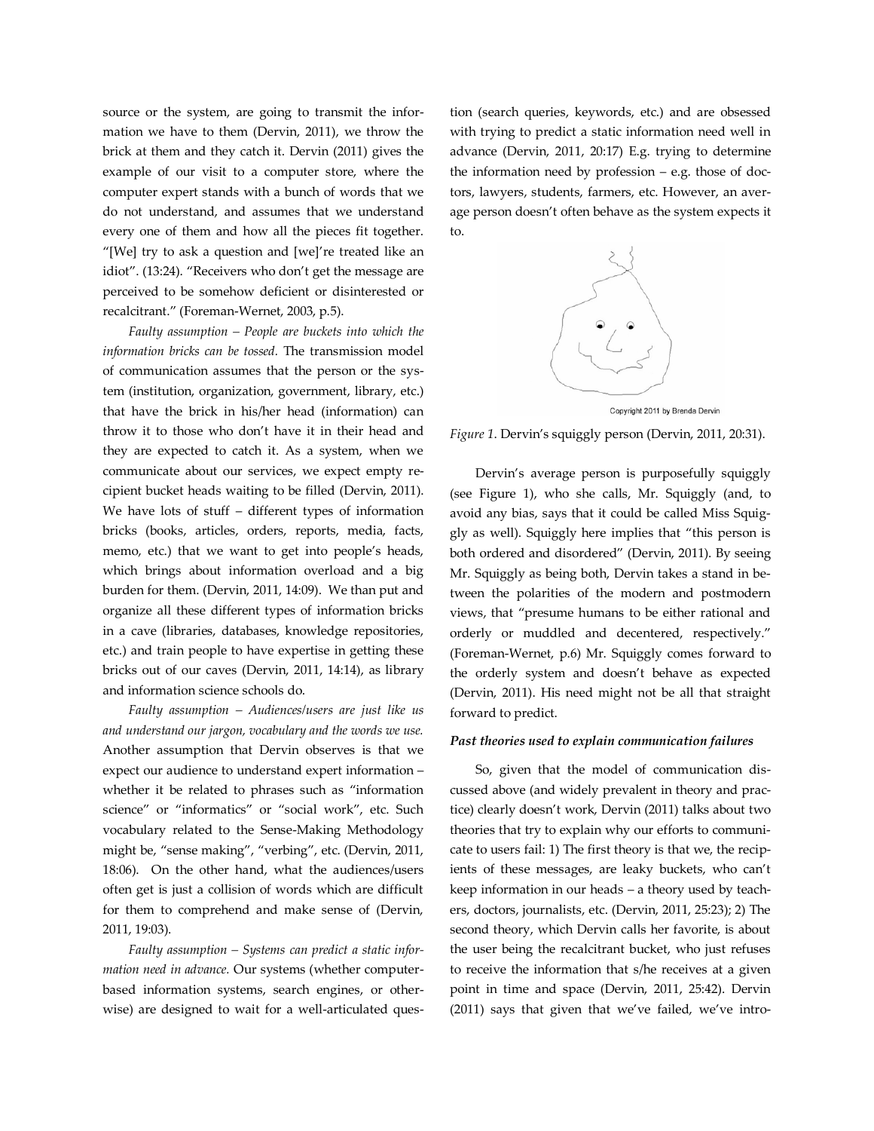source or the system, are going to transmit the information we have to them (Dervin, 2011), we throw the brick at them and they catch it. Dervin (2011) gives the example of our visit to a computer store, where the computer expert stands with a bunch of words that we do not understand, and assumes that we understand every one of them and how all the pieces fit together. "[We] try to ask a question and [we]'re treated like an idiot". (13:24). "Receivers who don't get the message are perceived to be somehow deficient or disinterested or recalcitrant." (Foreman-Wernet, 2003, p.5).

*Faulty assumption – People are buckets into which the information bricks can be tossed.* The transmission model of communication assumes that the person or the system (institution, organization, government, library, etc.) that have the brick in his/her head (information) can throw it to those who don't have it in their head and they are expected to catch it. As a system, when we communicate about our services, we expect empty recipient bucket heads waiting to be filled (Dervin, 2011). We have lots of stuff – different types of information bricks (books, articles, orders, reports, media, facts, memo, etc.) that we want to get into people's heads, which brings about information overload and a big burden for them. (Dervin, 2011, 14:09). We than put and organize all these different types of information bricks in a cave (libraries, databases, knowledge repositories, etc.) and train people to have expertise in getting these bricks out of our caves (Dervin, 2011, 14:14), as library and information science schools do.

*Faulty assumption – Audiences/users are just like us and understand our jargon, vocabulary and the words we use.* Another assumption that Dervin observes is that we expect our audience to understand expert information – whether it be related to phrases such as "information science" or "informatics" or "social work", etc. Such vocabulary related to the Sense-Making Methodology might be, "sense making", "verbing", etc. (Dervin, 2011, 18:06). On the other hand, what the audiences/users often get is just a collision of words which are difficult for them to comprehend and make sense of (Dervin, 2011, 19:03).

*Faulty assumption – Systems can predict a static information need in advance.* Our systems (whether computerbased information systems, search engines, or otherwise) are designed to wait for a well-articulated ques-

tion (search queries, keywords, etc.) and are obsessed with trying to predict a static information need well in advance (Dervin, 2011, 20:17) E.g. trying to determine the information need by profession – e.g. those of doctors, lawyers, students, farmers, etc. However, an average person doesn't often behave as the system expects it to.



Copyright 2011 by Brenda Dervin

*Figure 1*. Dervin's squiggly person (Dervin, 2011, 20:31).

Dervin's average person is purposefully squiggly (see Figure 1), who she calls, Mr. Squiggly (and, to avoid any bias, says that it could be called Miss Squiggly as well). Squiggly here implies that "this person is both ordered and disordered" (Dervin, 2011). By seeing Mr. Squiggly as being both, Dervin takes a stand in between the polarities of the modern and postmodern views, that "presume humans to be either rational and orderly or muddled and decentered, respectively." (Foreman-Wernet, p.6) Mr. Squiggly comes forward to the orderly system and doesn't behave as expected (Dervin, 2011). His need might not be all that straight forward to predict.

#### *Past theories used to explain communication failures*

So, given that the model of communication discussed above (and widely prevalent in theory and practice) clearly doesn't work, Dervin (2011) talks about two theories that try to explain why our efforts to communicate to users fail: 1) The first theory is that we, the recipients of these messages, are leaky buckets, who can't keep information in our heads – a theory used by teachers, doctors, journalists, etc. (Dervin, 2011, 25:23); 2) The second theory, which Dervin calls her favorite, is about the user being the recalcitrant bucket, who just refuses to receive the information that s/he receives at a given point in time and space (Dervin, 2011, 25:42). Dervin (2011) says that given that we've failed, we've intro-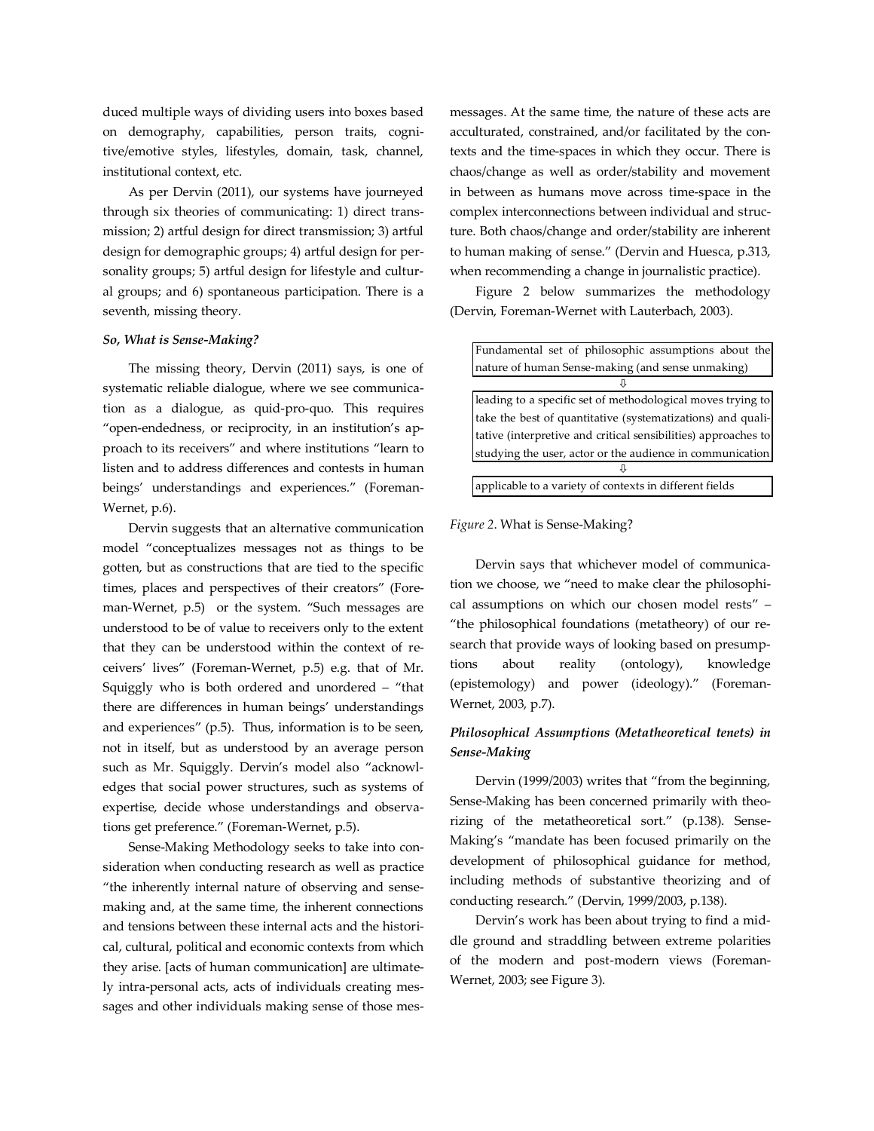duced multiple ways of dividing users into boxes based on demography, capabilities, person traits, cognitive/emotive styles, lifestyles, domain, task, channel, institutional context, etc.

As per Dervin (2011), our systems have journeyed through six theories of communicating: 1) direct transmission; 2) artful design for direct transmission; 3) artful design for demographic groups; 4) artful design for personality groups; 5) artful design for lifestyle and cultural groups; and 6) spontaneous participation. There is a seventh, missing theory.

#### *So, What is Sense-Making?*

The missing theory, Dervin (2011) says, is one of systematic reliable dialogue, where we see communication as a dialogue, as quid-pro-quo. This requires "open-endedness, or reciprocity, in an institution's approach to its receivers" and where institutions "learn to listen and to address differences and contests in human beings' understandings and experiences." (Foreman-Wernet, p.6).

Dervin suggests that an alternative communication model "conceptualizes messages not as things to be gotten, but as constructions that are tied to the specific times, places and perspectives of their creators" (Foreman-Wernet, p.5) or the system. "Such messages are understood to be of value to receivers only to the extent that they can be understood within the context of receivers' lives" (Foreman-Wernet, p.5) e.g. that of Mr. Squiggly who is both ordered and unordered – "that there are differences in human beings' understandings and experiences" (p.5). Thus, information is to be seen, not in itself, but as understood by an average person such as Mr. Squiggly. Dervin's model also "acknowledges that social power structures, such as systems of expertise, decide whose understandings and observations get preference." (Foreman-Wernet, p.5).

Sense-Making Methodology seeks to take into consideration when conducting research as well as practice "the inherently internal nature of observing and sensemaking and, at the same time, the inherent connections and tensions between these internal acts and the historical, cultural, political and economic contexts from which they arise. [acts of human communication] are ultimately intra-personal acts, acts of individuals creating messages and other individuals making sense of those mesmessages. At the same time, the nature of these acts are acculturated, constrained, and/or facilitated by the contexts and the time-spaces in which they occur. There is chaos/change as well as order/stability and movement in between as humans move across time-space in the complex interconnections between individual and structure. Both chaos/change and order/stability are inherent to human making of sense." (Dervin and Huesca, p.313, when recommending a change in journalistic practice).

Figure 2 below summarizes the methodology (Dervin, Foreman-Wernet with Lauterbach, 2003).

| Fundamental set of philosophic assumptions about the           |  |
|----------------------------------------------------------------|--|
| nature of human Sense-making (and sense unmaking)              |  |
|                                                                |  |
| leading to a specific set of methodological moves trying to    |  |
| take the best of quantitative (systematizations) and quali-    |  |
| tative (interpretive and critical sensibilities) approaches to |  |
| studying the user, actor or the audience in communication      |  |
|                                                                |  |
| applicable to a variety of contexts in different fields        |  |

#### *Figure 2*. What is Sense-Making?

Dervin says that whichever model of communication we choose, we "need to make clear the philosophical assumptions on which our chosen model rests" – "the philosophical foundations (metatheory) of our research that provide ways of looking based on presumptions about reality (ontology), knowledge (epistemology) and power (ideology)." (Foreman-Wernet, 2003, p.7).

# *Philosophical Assumptions (Metatheoretical tenets) in Sense-Making*

Dervin (1999/2003) writes that "from the beginning, Sense-Making has been concerned primarily with theorizing of the metatheoretical sort." (p.138). Sense-Making's "mandate has been focused primarily on the development of philosophical guidance for method, including methods of substantive theorizing and of conducting research." (Dervin, 1999/2003, p.138).

Dervin's work has been about trying to find a middle ground and straddling between extreme polarities of the modern and post-modern views (Foreman-Wernet, 2003; see Figure 3).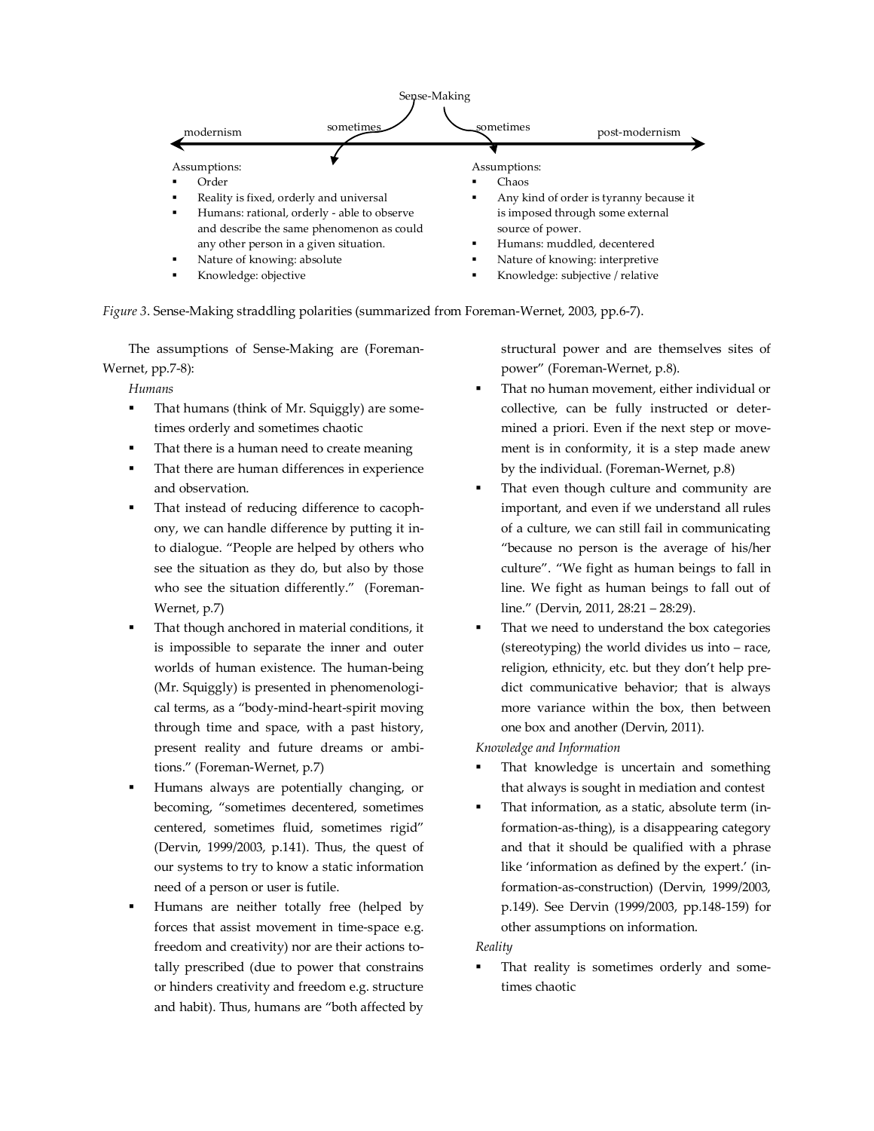

*Figure 3*. Sense-Making straddling polarities (summarized from Foreman-Wernet, 2003, pp.6-7).

The assumptions of Sense-Making are (Foreman-Wernet, pp.7-8):

*Humans*

- That humans (think of Mr. Squiggly) are sometimes orderly and sometimes chaotic
- That there is a human need to create meaning
- That there are human differences in experience and observation.
- That instead of reducing difference to cacophony, we can handle difference by putting it into dialogue. "People are helped by others who see the situation as they do, but also by those who see the situation differently." (Foreman-Wernet, p.7)
- That though anchored in material conditions, it is impossible to separate the inner and outer worlds of human existence. The human-being (Mr. Squiggly) is presented in phenomenological terms, as a "body-mind-heart-spirit moving through time and space, with a past history, present reality and future dreams or ambitions." (Foreman-Wernet, p.7)
- Humans always are potentially changing, or becoming, "sometimes decentered, sometimes centered, sometimes fluid, sometimes rigid" (Dervin, 1999/2003, p.141). Thus, the quest of our systems to try to know a static information need of a person or user is futile.
- Humans are neither totally free (helped by forces that assist movement in time-space e.g. freedom and creativity) nor are their actions totally prescribed (due to power that constrains or hinders creativity and freedom e.g. structure and habit). Thus, humans are "both affected by

structural power and are themselves sites of power" (Foreman-Wernet, p.8).

- That no human movement, either individual or collective, can be fully instructed or determined a priori. Even if the next step or movement is in conformity, it is a step made anew by the individual. (Foreman-Wernet, p.8)
- That even though culture and community are important, and even if we understand all rules of a culture, we can still fail in communicating "because no person is the average of his/her culture". "We fight as human beings to fall in line. We fight as human beings to fall out of line." (Dervin, 2011, 28:21 – 28:29).
- That we need to understand the box categories (stereotyping) the world divides us into – race, religion, ethnicity, etc. but they don't help predict communicative behavior; that is always more variance within the box, then between one box and another (Dervin, 2011).

*Knowledge and Information*

- That knowledge is uncertain and something that always is sought in mediation and contest
- That information, as a static, absolute term (information-as-thing), is a disappearing category and that it should be qualified with a phrase like 'information as defined by the expert.' (information-as-construction) (Dervin, 1999/2003, p.149). See Dervin (1999/2003, pp.148-159) for other assumptions on information.

## *Reality*

 That reality is sometimes orderly and sometimes chaotic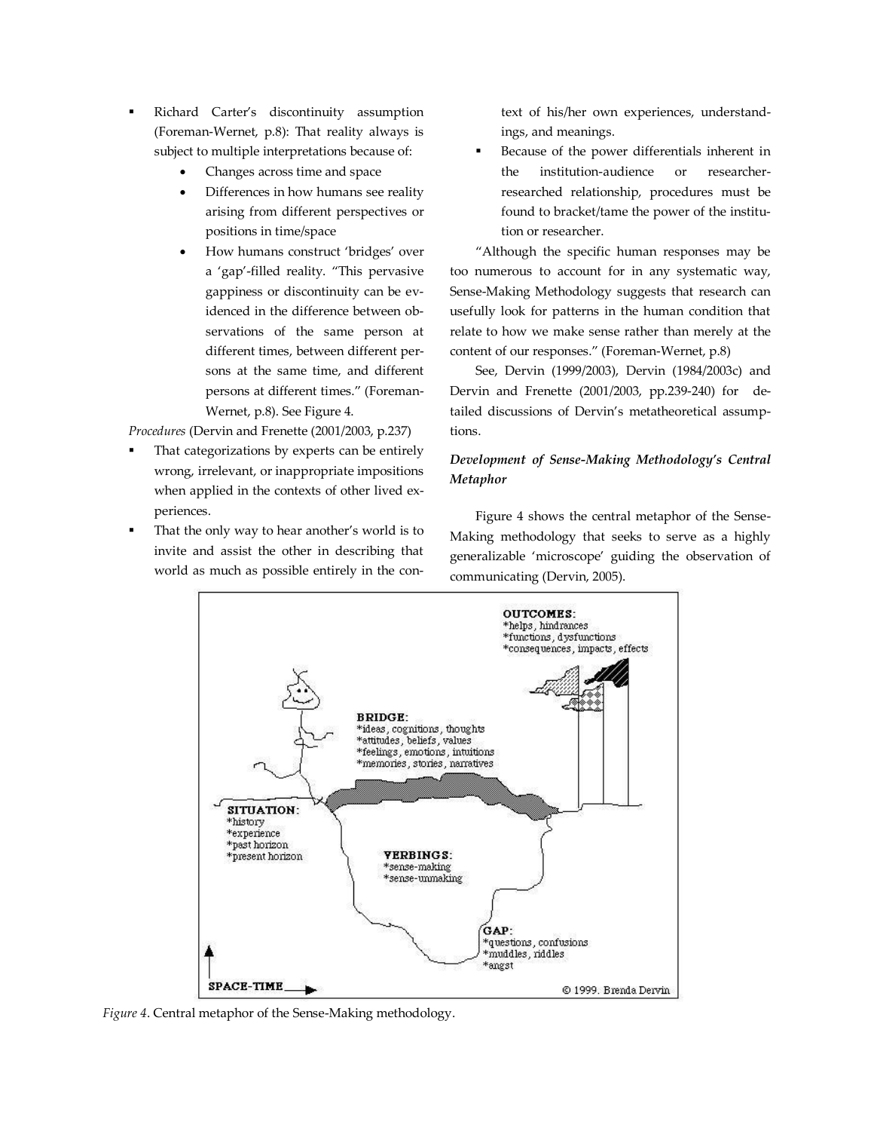- Richard Carter's discontinuity assumption (Foreman-Wernet, p.8): That reality always is subject to multiple interpretations because of:
	- Changes across time and space
	- Differences in how humans see reality arising from different perspectives or positions in time/space
	- How humans construct 'bridges' over a 'gap'-filled reality. "This pervasive gappiness or discontinuity can be evidenced in the difference between observations of the same person at different times, between different persons at the same time, and different persons at different times." (Foreman-Wernet, p.8). See Figure 4.

*Procedures* (Dervin and Frenette (2001/2003, p.237)

- That categorizations by experts can be entirely wrong, irrelevant, or inappropriate impositions when applied in the contexts of other lived experiences.
- That the only way to hear another's world is to invite and assist the other in describing that world as much as possible entirely in the con-

text of his/her own experiences, understandings, and meanings.

 Because of the power differentials inherent in the institution-audience or researcherresearched relationship, procedures must be found to bracket/tame the power of the institution or researcher.

"Although the specific human responses may be too numerous to account for in any systematic way, Sense-Making Methodology suggests that research can usefully look for patterns in the human condition that relate to how we make sense rather than merely at the content of our responses." (Foreman-Wernet, p.8)

See, Dervin (1999/2003), Dervin (1984/2003c) and Dervin and Frenette (2001/2003, pp.239-240) for detailed discussions of Dervin's metatheoretical assumptions.

# *Development of Sense-Making Methodology's Central Metaphor*

Figure 4 shows the central metaphor of the Sense-Making methodology that seeks to serve as a highly generalizable 'microscope' guiding the observation of communicating (Dervin, 2005).



*Figure 4*. Central metaphor of the Sense-Making methodology.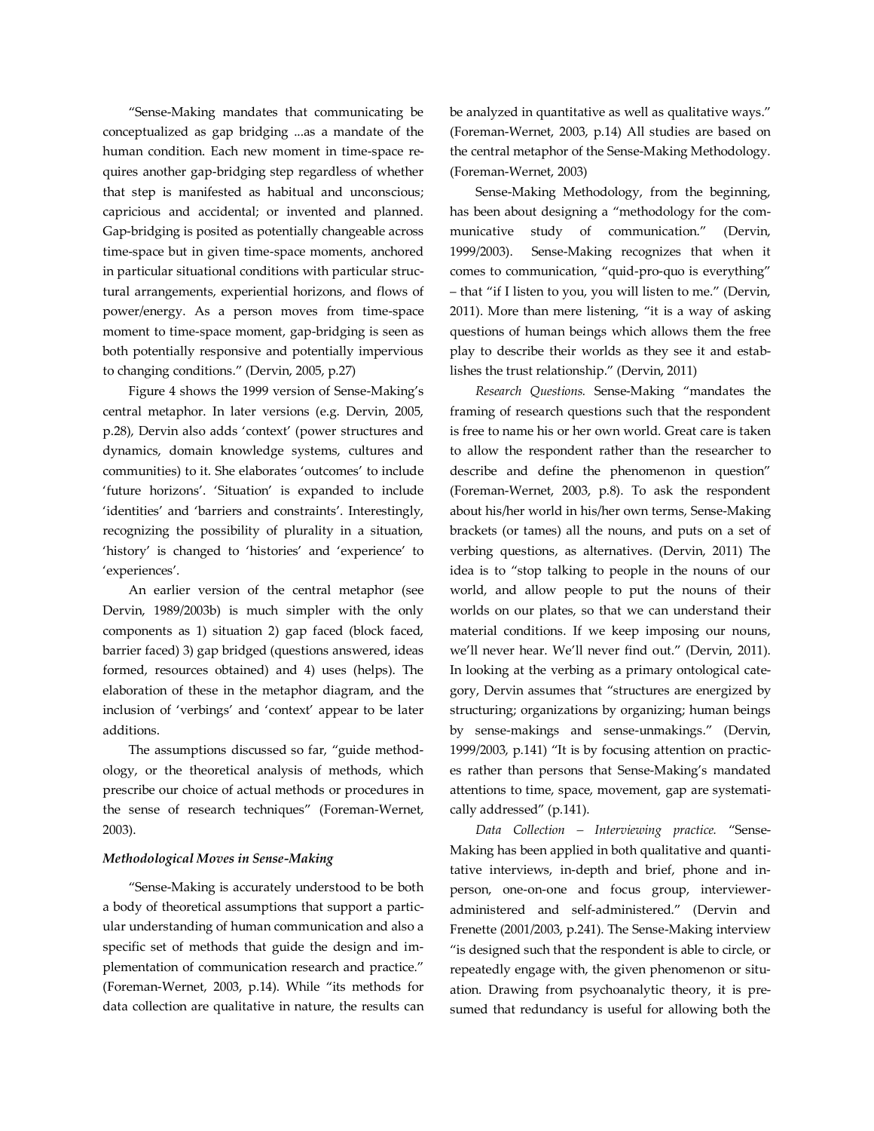"Sense-Making mandates that communicating be conceptualized as gap bridging ...as a mandate of the human condition. Each new moment in time-space requires another gap-bridging step regardless of whether that step is manifested as habitual and unconscious; capricious and accidental; or invented and planned. Gap-bridging is posited as potentially changeable across time-space but in given time-space moments, anchored in particular situational conditions with particular structural arrangements, experiential horizons, and flows of power/energy. As a person moves from time-space moment to time-space moment, gap-bridging is seen as both potentially responsive and potentially impervious to changing conditions." (Dervin, 2005, p.27)

Figure 4 shows the 1999 version of Sense-Making's central metaphor. In later versions (e.g. Dervin, 2005, p.28), Dervin also adds 'context' (power structures and dynamics, domain knowledge systems, cultures and communities) to it. She elaborates 'outcomes' to include 'future horizons'. 'Situation' is expanded to include 'identities' and 'barriers and constraints'. Interestingly, recognizing the possibility of plurality in a situation, 'history' is changed to 'histories' and 'experience' to 'experiences'.

An earlier version of the central metaphor (see Dervin, 1989/2003b) is much simpler with the only components as 1) situation 2) gap faced (block faced, barrier faced) 3) gap bridged (questions answered, ideas formed, resources obtained) and 4) uses (helps). The elaboration of these in the metaphor diagram, and the inclusion of 'verbings' and 'context' appear to be later additions.

The assumptions discussed so far, "guide methodology, or the theoretical analysis of methods, which prescribe our choice of actual methods or procedures in the sense of research techniques" (Foreman-Wernet, 2003).

#### *Methodological Moves in Sense-Making*

"Sense-Making is accurately understood to be both a body of theoretical assumptions that support a particular understanding of human communication and also a specific set of methods that guide the design and implementation of communication research and practice." (Foreman-Wernet, 2003, p.14). While "its methods for data collection are qualitative in nature, the results can

be analyzed in quantitative as well as qualitative ways." (Foreman-Wernet, 2003, p.14) All studies are based on the central metaphor of the Sense-Making Methodology. (Foreman-Wernet, 2003)

Sense-Making Methodology, from the beginning, has been about designing a "methodology for the communicative study of communication." (Dervin, 1999/2003). Sense-Making recognizes that when it comes to communication, "quid-pro-quo is everything" – that "if I listen to you, you will listen to me." (Dervin, 2011). More than mere listening, "it is a way of asking questions of human beings which allows them the free play to describe their worlds as they see it and establishes the trust relationship." (Dervin, 2011)

*Research Questions.* Sense-Making "mandates the framing of research questions such that the respondent is free to name his or her own world. Great care is taken to allow the respondent rather than the researcher to describe and define the phenomenon in question" (Foreman-Wernet, 2003, p.8). To ask the respondent about his/her world in his/her own terms, Sense-Making brackets (or tames) all the nouns, and puts on a set of verbing questions, as alternatives. (Dervin, 2011) The idea is to "stop talking to people in the nouns of our world, and allow people to put the nouns of their worlds on our plates, so that we can understand their material conditions. If we keep imposing our nouns, we'll never hear. We'll never find out." (Dervin, 2011). In looking at the verbing as a primary ontological category, Dervin assumes that "structures are energized by structuring; organizations by organizing; human beings by sense-makings and sense-unmakings." (Dervin, 1999/2003, p.141) "It is by focusing attention on practices rather than persons that Sense-Making's mandated attentions to time, space, movement, gap are systematically addressed" (p.141).

*Data Collection – Interviewing practice.* "Sense-Making has been applied in both qualitative and quantitative interviews, in-depth and brief, phone and inperson, one-on-one and focus group, intervieweradministered and self-administered." (Dervin and Frenette (2001/2003, p.241). The Sense-Making interview "is designed such that the respondent is able to circle, or repeatedly engage with, the given phenomenon or situation. Drawing from psychoanalytic theory, it is presumed that redundancy is useful for allowing both the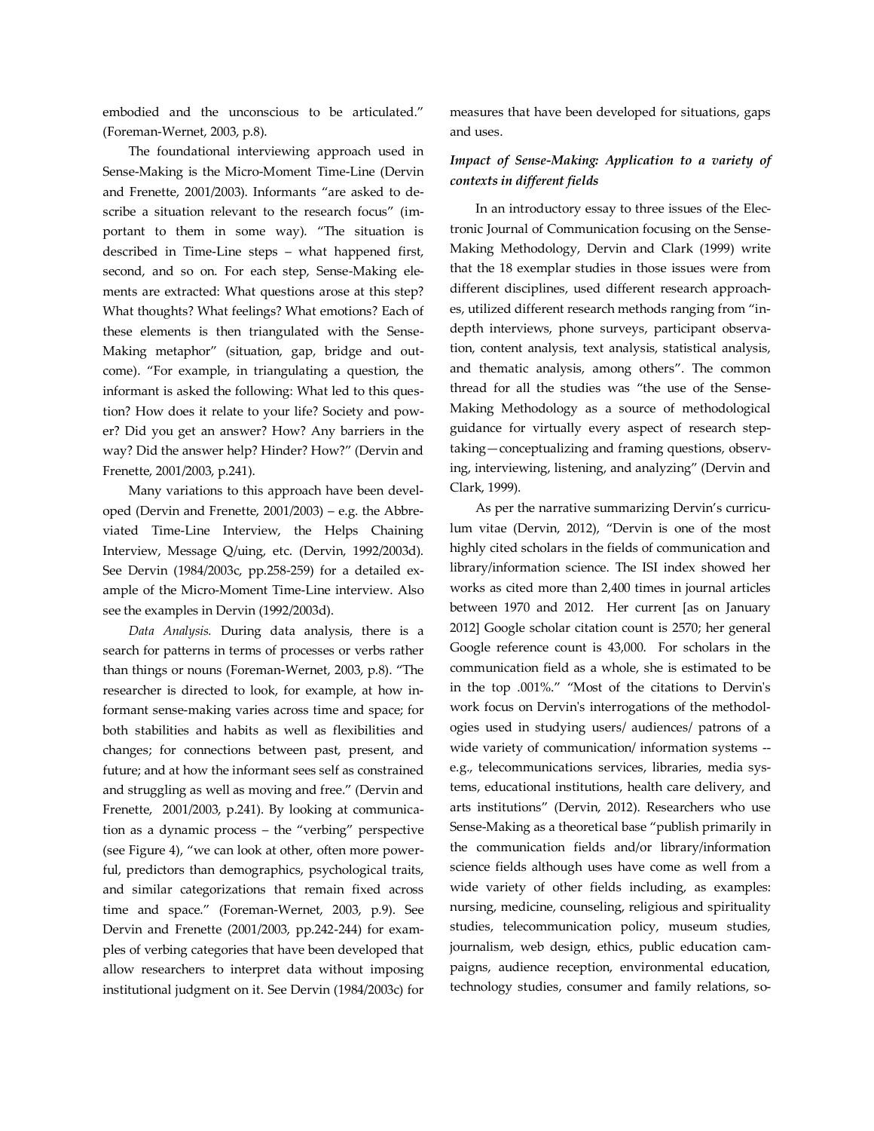embodied and the unconscious to be articulated." (Foreman-Wernet, 2003, p.8).

The foundational interviewing approach used in Sense-Making is the Micro-Moment Time-Line (Dervin and Frenette, 2001/2003). Informants "are asked to describe a situation relevant to the research focus" (important to them in some way). "The situation is described in Time-Line steps – what happened first, second, and so on. For each step, Sense-Making elements are extracted: What questions arose at this step? What thoughts? What feelings? What emotions? Each of these elements is then triangulated with the Sense-Making metaphor" (situation, gap, bridge and outcome). "For example, in triangulating a question, the informant is asked the following: What led to this question? How does it relate to your life? Society and power? Did you get an answer? How? Any barriers in the way? Did the answer help? Hinder? How?" (Dervin and Frenette, 2001/2003, p.241).

Many variations to this approach have been developed (Dervin and Frenette, 2001/2003) – e.g. the Abbreviated Time-Line Interview, the Helps Chaining Interview, Message Q/uing, etc. (Dervin, 1992/2003d). See Dervin (1984/2003c, pp.258-259) for a detailed example of the Micro-Moment Time-Line interview. Also see the examples in Dervin (1992/2003d).

*Data Analysis.* During data analysis, there is a search for patterns in terms of processes or verbs rather than things or nouns (Foreman-Wernet, 2003, p.8). "The researcher is directed to look, for example, at how informant sense-making varies across time and space; for both stabilities and habits as well as flexibilities and changes; for connections between past, present, and future; and at how the informant sees self as constrained and struggling as well as moving and free." (Dervin and Frenette, 2001/2003, p.241). By looking at communication as a dynamic process – the "verbing" perspective (see Figure 4), "we can look at other, often more powerful, predictors than demographics, psychological traits, and similar categorizations that remain fixed across time and space." (Foreman-Wernet, 2003, p.9). See Dervin and Frenette (2001/2003, pp.242-244) for examples of verbing categories that have been developed that allow researchers to interpret data without imposing institutional judgment on it. See Dervin (1984/2003c) for measures that have been developed for situations, gaps and uses.

# *Impact of Sense-Making: Application to a variety of contexts in different fields*

In an introductory essay to three issues of the Electronic Journal of Communication focusing on the Sense-Making Methodology, Dervin and Clark (1999) write that the 18 exemplar studies in those issues were from different disciplines, used different research approaches, utilized different research methods ranging from "indepth interviews, phone surveys, participant observation, content analysis, text analysis, statistical analysis, and thematic analysis, among others". The common thread for all the studies was "the use of the Sense-Making Methodology as a source of methodological guidance for virtually every aspect of research steptaking—conceptualizing and framing questions, observing, interviewing, listening, and analyzing" (Dervin and Clark, 1999).

As per the narrative summarizing Dervin's curriculum vitae (Dervin, 2012), "Dervin is one of the most highly cited scholars in the fields of communication and library/information science. The ISI index showed her works as cited more than 2,400 times in journal articles between 1970 and 2012. Her current [as on January 2012] Google scholar citation count is 2570; her general Google reference count is 43,000. For scholars in the communication field as a whole, she is estimated to be in the top .001%." "Most of the citations to Dervin's work focus on Dervin's interrogations of the methodologies used in studying users/ audiences/ patrons of a wide variety of communication/ information systems - e.g., telecommunications services, libraries, media systems, educational institutions, health care delivery, and arts institutions" (Dervin, 2012). Researchers who use Sense-Making as a theoretical base "publish primarily in the communication fields and/or library/information science fields although uses have come as well from a wide variety of other fields including, as examples: nursing, medicine, counseling, religious and spirituality studies, telecommunication policy, museum studies, journalism, web design, ethics, public education campaigns, audience reception, environmental education, technology studies, consumer and family relations, so-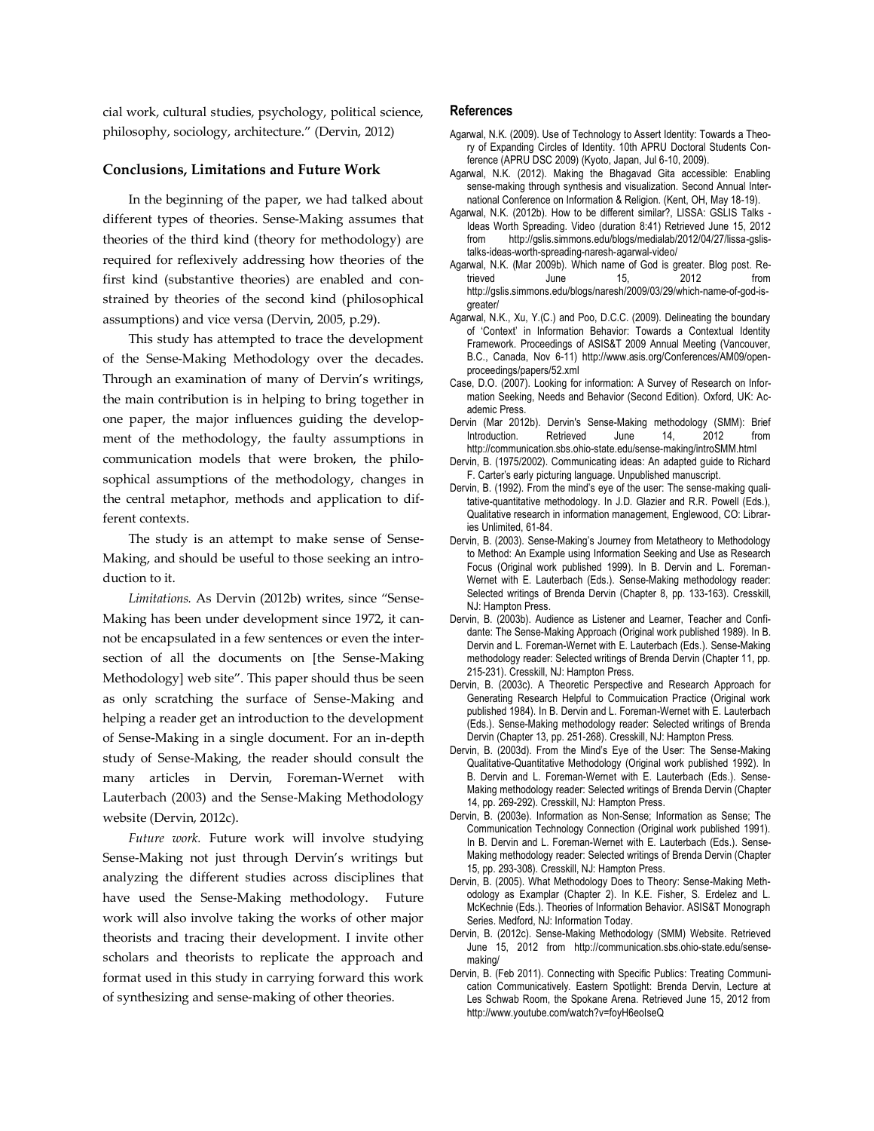cial work, cultural studies, psychology, political science, philosophy, sociology, architecture." (Dervin, 2012)

#### **Conclusions, Limitations and Future Work**

In the beginning of the paper, we had talked about different types of theories. Sense-Making assumes that theories of the third kind (theory for methodology) are required for reflexively addressing how theories of the first kind (substantive theories) are enabled and constrained by theories of the second kind (philosophical assumptions) and vice versa (Dervin, 2005, p.29).

This study has attempted to trace the development of the Sense-Making Methodology over the decades. Through an examination of many of Dervin's writings, the main contribution is in helping to bring together in one paper, the major influences guiding the development of the methodology, the faulty assumptions in communication models that were broken, the philosophical assumptions of the methodology, changes in the central metaphor, methods and application to different contexts.

The study is an attempt to make sense of Sense-Making, and should be useful to those seeking an introduction to it.

*Limitations.* As Dervin (2012b) writes, since "Sense-Making has been under development since 1972, it cannot be encapsulated in a few sentences or even the intersection of all the documents on [the Sense-Making Methodology] web site". This paper should thus be seen as only scratching the surface of Sense-Making and helping a reader get an introduction to the development of Sense-Making in a single document. For an in-depth study of Sense-Making, the reader should consult the many articles in Dervin, Foreman-Wernet with Lauterbach (2003) and the Sense-Making Methodology website (Dervin, 2012c).

*Future work.* Future work will involve studying Sense-Making not just through Dervin's writings but analyzing the different studies across disciplines that have used the Sense-Making methodology. Future work will also involve taking the works of other major theorists and tracing their development. I invite other scholars and theorists to replicate the approach and format used in this study in carrying forward this work of synthesizing and sense-making of other theories.

#### **References**

- Agarwal, N.K. (2009). Use of Technology to Assert Identity: Towards a Theory of Expanding Circles of Identity. 10th APRU Doctoral Students Conference (APRU DSC 2009) (Kyoto, Japan, Jul 6-10, 2009).
- Agarwal, N.K. (2012). Making the Bhagavad Gita accessible: Enabling sense-making through synthesis and visualization. Second Annual International Conference on Information & Religion. (Kent, OH, May 18-19).
- Agarwal, N.K. (2012b). How to be different similar?, LISSA: GSLIS Talks Ideas Worth Spreading. Video (duration 8:41) Retrieved June 15, 2012 from http://gslis.simmons.edu/blogs/medialab/2012/04/27/lissa-gslistalks-ideas-worth-spreading-naresh-agarwal-video/
- Agarwal, N.K. (Mar 2009b). Which name of God is greater. Blog post. Retrieved June 15, 2012 from http://gslis.simmons.edu/blogs/naresh/2009/03/29/which-name-of-god-isgreater/
- Agarwal, N.K., Xu, Y.(C.) and Poo, D.C.C. (2009). Delineating the boundary of 'Context' in Information Behavior: Towards a Contextual Identity Framework. Proceedings of ASIS&T 2009 Annual Meeting (Vancouver, B.C., Canada, Nov 6-11) http://www.asis.org/Conferences/AM09/openproceedings/papers/52.xml
- Case, D.O. (2007). Looking for information: A Survey of Research on Information Seeking, Needs and Behavior (Second Edition). Oxford, UK: Academic Press.
- Dervin (Mar 2012b). Dervin's Sense-Making methodology (SMM): Brief Introduction. Retrieved June 14, 2012 from http://communication.sbs.ohio-state.edu/sense-making/introSMM.html
- Dervin, B. (1975/2002). Communicating ideas: An adapted guide to Richard F. Carter's early picturing language. Unpublished manuscript.
- Dervin, B. (1992). From the mind's eye of the user: The sense-making qualitative-quantitative methodology. In J.D. Glazier and R.R. Powell (Eds.), Qualitative research in information management, Englewood, CO: Libraries Unlimited, 61-84.
- Dervin, B. (2003). Sense-Making's Journey from Metatheory to Methodology to Method: An Example using Information Seeking and Use as Research Focus (Original work published 1999). In B. Dervin and L. Foreman-Wernet with E. Lauterbach (Eds.). Sense-Making methodology reader: Selected writings of Brenda Dervin (Chapter 8, pp. 133-163). Cresskill, NJ: Hampton Press.
- Dervin, B. (2003b). Audience as Listener and Learner, Teacher and Confidante: The Sense-Making Approach (Original work published 1989). In B. Dervin and L. Foreman-Wernet with E. Lauterbach (Eds.). Sense-Making methodology reader: Selected writings of Brenda Dervin (Chapter 11, pp. 215-231). Cresskill, NJ: Hampton Press.
- Dervin, B. (2003c). A Theoretic Perspective and Research Approach for Generating Research Helpful to Commuication Practice (Original work published 1984). In B. Dervin and L. Foreman-Wernet with E. Lauterbach (Eds.). Sense-Making methodology reader: Selected writings of Brenda Dervin (Chapter 13, pp. 251-268). Cresskill, NJ: Hampton Press.
- Dervin, B. (2003d). From the Mind's Eye of the User: The Sense-Making Qualitative-Quantitative Methodology (Original work published 1992). In B. Dervin and L. Foreman-Wernet with E. Lauterbach (Eds.). Sense-Making methodology reader: Selected writings of Brenda Dervin (Chapter 14, pp. 269-292). Cresskill, NJ: Hampton Press.
- Dervin, B. (2003e). Information as Non-Sense; Information as Sense; The Communication Technology Connection (Original work published 1991). In B. Dervin and L. Foreman-Wernet with E. Lauterbach (Eds.). Sense-Making methodology reader: Selected writings of Brenda Dervin (Chapter 15, pp. 293-308). Cresskill, NJ: Hampton Press.
- Dervin, B. (2005). What Methodology Does to Theory: Sense-Making Methodology as Examplar (Chapter 2). In K.E. Fisher, S. Erdelez and L. McKechnie (Eds.). Theories of Information Behavior. ASIS&T Monograph Series. Medford, NJ: Information Today.
- Dervin, B. (2012c). Sense-Making Methodology (SMM) Website. Retrieved June 15, 2012 from http://communication.sbs.ohio-state.edu/sensemaking/
- Dervin, B. (Feb 2011). Connecting with Specific Publics: Treating Communication Communicatively. Eastern Spotlight: Brenda Dervin, Lecture at Les Schwab Room, the Spokane Arena. Retrieved June 15, 2012 from http://www.youtube.com/watch?v=foyH6eoIseQ